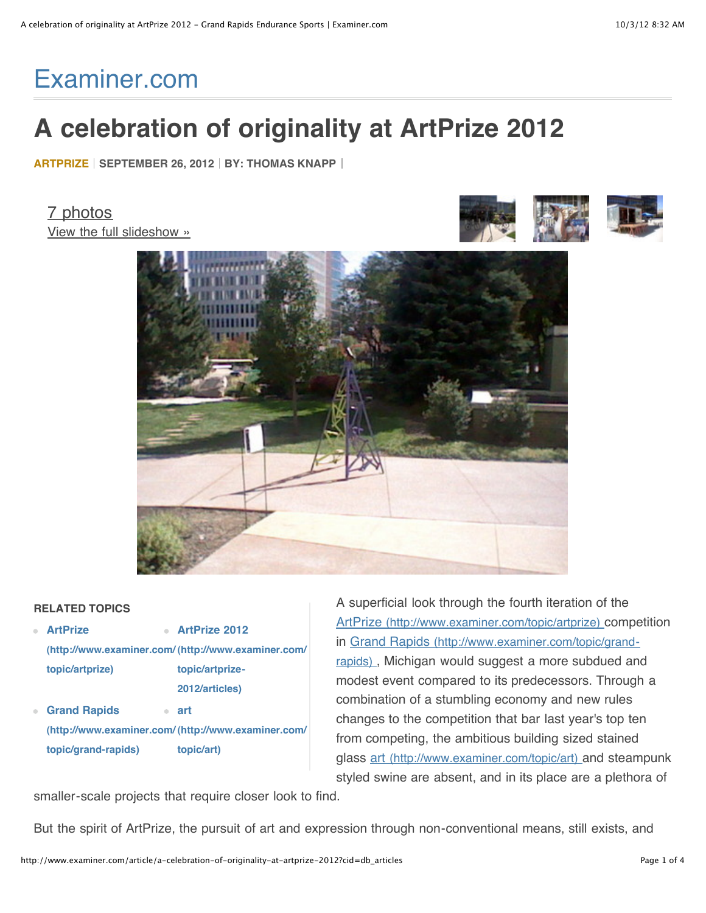# [Examiner.com](http://www.examiner.com/)

## **A celebration of originality at ArtPrize 2012**

**[ARTPRIZE](http://www.examiner.com/topic/artprize) SEPTEMBER 26, 2012 BY: [THOMAS KNAPP](http://www.examiner.com/endurance-sports-in-grand-rapids/thomas-knapp)**

[7 photos](http://www.examiner.com/slideshow/a-small-slice-of-artprize-2012) [View the full slideshow »](http://www.examiner.com/slideshow/a-small-slice-of-artprize-2012)





## **RELATED TOPICS**

- **ArtPrize [\(http://www.examiner.com/](http://www.examiner.com/topic/artprize) [\(http://www.examiner.com/](http://www.examiner.com/topic/artprize-2012/articles) topic/artprize) ArtPrize 2012 topic/artprize-2012/articles)**
- **Grand Rapids art**  $\overline{\phantom{a}}$ **[\(http://www.examiner.com/](http://www.examiner.com/topic/grand-rapids) [\(http://www.examiner.com/](http://www.examiner.com/topic/art) topic/grand-rapids) topic/art)**

A superficial look through the fourth iteration of the [ArtPrize \(http://www.examiner.com/topic/artprize\)](http://www.examiner.com/topic/artprize) competition in Grand Rapids (http://www.examiner.com/topic/grand[rapids\) , Michigan would suggest a more subdued and](http://www.examiner.com/topic/grand-rapids) modest event compared to its predecessors. Through a combination of a stumbling economy and new rules changes to the competition that bar last year's top ten from competing, the ambitious building sized stained glass [art \(http://www.examiner.com/topic/art\)](http://www.examiner.com/topic/art) and steampunk styled swine are absent, and in its place are a plethora of

smaller-scale projects that require closer look to find.

But the spirit of ArtPrize, the pursuit of art and expression through non-conventional means, still exists, and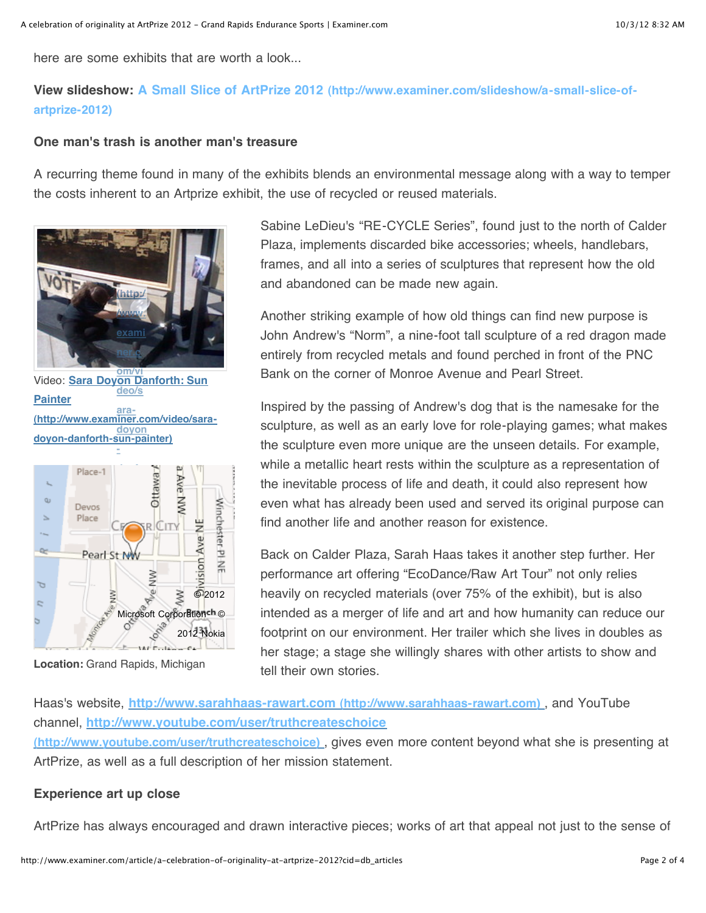here are some exhibits that are worth a look...

## **View slideshow: [A Small Slice of ArtPrize 2012 \(http://www.examiner.com/slideshow/a-small-slice-of](http://www.examiner.com/slideshow/a-small-slice-of-artprize-2012)artprize-2012)**

### **One man's trash is another man's treasure**

A recurring theme found in many of the exhibits blends an environmental message along with a way to temper the costs inherent to an Artprize exhibit, the use of recycled or reused materials.



Video: **Sara Doyon Danforth: Sun om/vi Painter [\(http://www.examiner.com/video/sara](http://www.examiner.com/video/sara-doyon-danforth-sun-painter)doyon-danforth-sun-painter) deo/s aradoyon -**



Location: Grand Rapids, Michigan

Sabine LeDieu's "RE-CYCLE Series", found just to the north of Calder Plaza, implements discarded bike accessories; wheels, handlebars, frames, and all into a series of sculptures that represent how the old and abandoned can be made new again.

Another striking example of how old things can find new purpose is John Andrew's "Norm", a nine-foot tall sculpture of a red dragon made entirely from recycled metals and found perched in front of the PNC Bank on the corner of Monroe Avenue and Pearl Street.

Inspired by the passing of Andrew's dog that is the namesake for the sculpture, as well as an early love for role-playing games; what makes the sculpture even more unique are the unseen details. For example, while a metallic heart rests within the sculpture as a representation of the inevitable process of life and death, it could also represent how even what has already been used and served its original purpose can find another life and another reason for existence.

Back on Calder Plaza, Sarah Haas takes it another step further. Her performance art offering "EcoDance/Raw Art Tour" not only relies heavily on recycled materials (over 75% of the exhibit), but is also intended as a merger of life and art and how humanity can reduce our footprint on our environment. Her trailer which she lives in doubles as her stage; a stage she willingly shares with other artists to show and tell their own stories

Haas's website, **[http://www.sarahhaas-rawart.com \(http://www.sarahhaas-rawart.com\)](http://www.sarahhaas-rawart.com/)** , and YouTube channel, **<http://www.youtube.com/user/truthcreateschoice> (http://www.youtube.com/user/truthcreateschoice)** , gives even more content beyond what she is presenting at ArtPrize, as well as a full description of her mission statement.

### **Experience art up close**

ArtPrize has always encouraged and drawn interactive pieces; works of art that appeal not just to the sense of